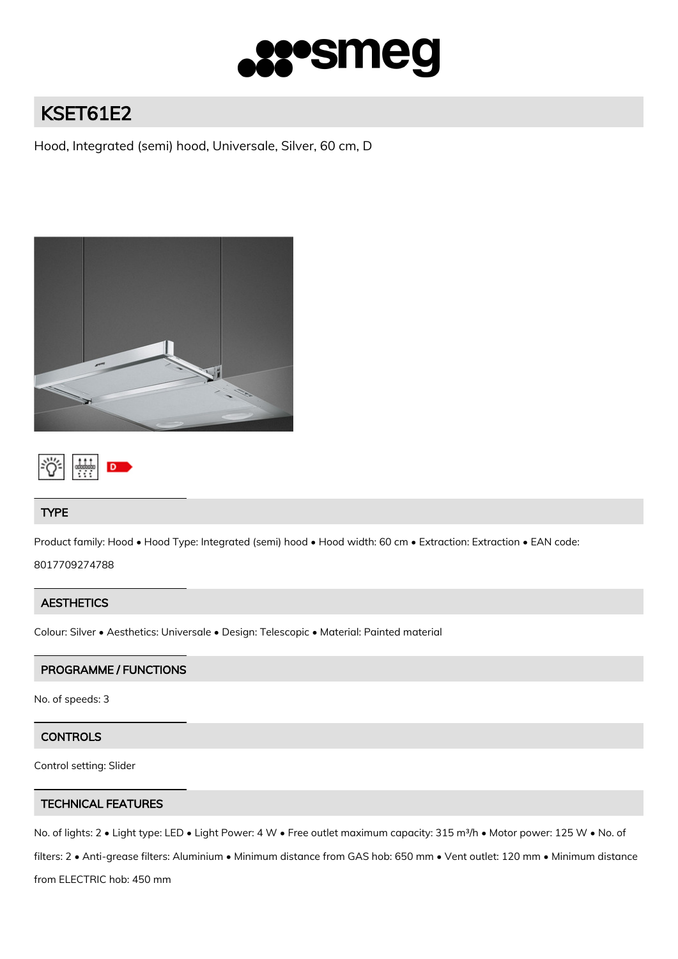

# KSET61E2

Hood, Integrated (semi) hood, Universale, Silver, 60 cm, D





## TYPE

Product family: Hood • Hood Type: Integrated (semi) hood • Hood width: 60 cm • Extraction: Extraction • EAN code:

8017709274788

# **AESTHETICS**

Colour: Silver • Aesthetics: Universale • Design: Telescopic • Material: Painted material

## PROGRAMME / FUNCTIONS

No. of speeds: 3

# **CONTROLS**

Control setting: Slider

## TECHNICAL FEATURES

No. of lights: 2 • Light type: LED • Light Power: 4 W • Free outlet maximum capacity: 315 m<sup>3</sup>/h • Motor power: 125 W • No. of filters: 2 • Anti-grease filters: Aluminium • Minimum distance from GAS hob: 650 mm • Vent outlet: 120 mm • Minimum distance from ELECTRIC hob: 450 mm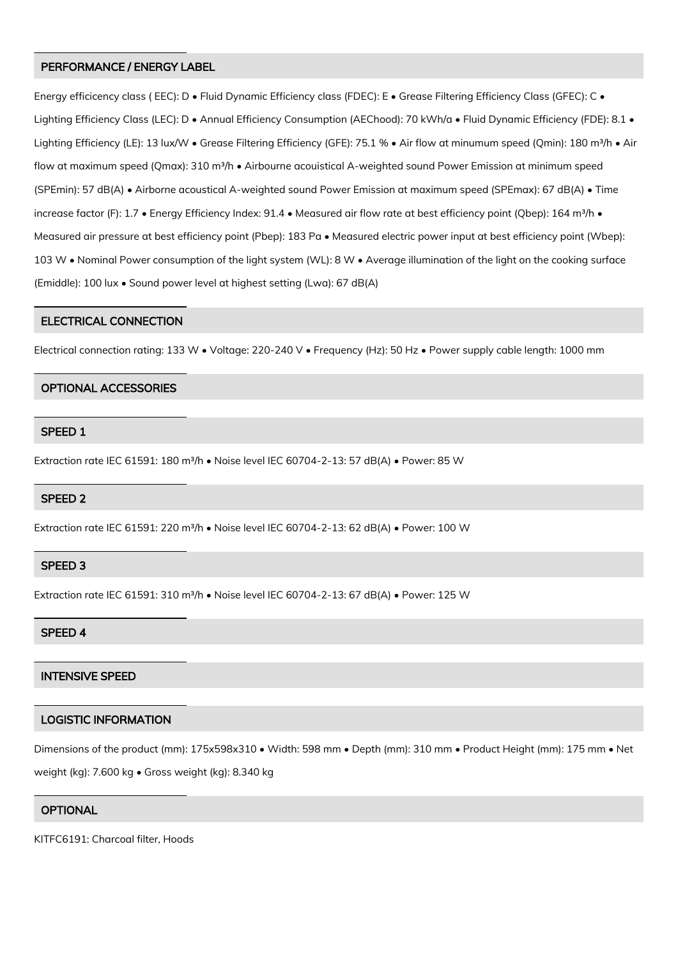#### PERFORMANCE / ENERGY LABEL

Energy efficicency class ( EEC): D • Fluid Dynamic Efficiency class (FDEC): E • Grease Filtering Efficiency Class (GFEC): C • Lighting Efficiency Class (LEC): D • Annual Efficiency Consumption (AEChood): 70 kWh/a • Fluid Dynamic Efficiency (FDE): 8.1 • Lighting Efficiency (LE): 13 lux/W • Grease Filtering Efficiency (GFE): 75.1 % • Air flow at minumum speed (Qmin): 180 m<sup>3</sup>/h • Air flow at maximum speed (Qmax): 310 m<sup>3</sup>/h • Airbourne acouistical A-weighted sound Power Emission at minimum speed (SPEmin): 57 dB(A) • Airborne acoustical A-weighted sound Power Emission at maximum speed (SPEmax): 67 dB(A) • Time increase factor (F): 1.7 • Energy Efficiency Index: 91.4 • Measured air flow rate at best efficiency point (Qbep): 164 m<sup>3</sup>/h • Measured air pressure at best efficiency point (Pbep): 183 Pa • Measured electric power input at best efficiency point (Wbep): 103 W • Nominal Power consumption of the light system (WL): 8 W • Average illumination of the light on the cooking surface (Emiddle): 100 lux • Sound power level at highest setting (Lwa): 67 dB(A)

#### ELECTRICAL CONNECTION

Electrical connection rating: 133 W • Voltage: 220-240 V • Frequency (Hz): 50 Hz • Power supply cable length: 1000 mm

#### OPTIONAL ACCESSORIES

#### SPEED 1

Extraction rate IEC 61591: 180 m<sup>3</sup>/h • Noise level IEC 60704-2-13: 57 dB(A) • Power: 85 W

#### SPEED 2

Extraction rate IEC 61591: 220 m<sup>3</sup>/h • Noise level IEC 60704-2-13: 62 dB(A) • Power: 100 W

### SPEED 3

Extraction rate IEC 61591: 310 m<sup>3</sup>/h • Noise level IEC 60704-2-13: 67 dB(A) • Power: 125 W

#### SPEED 4

## INTENSIVE SPEED

## LOGISTIC INFORMATION

Dimensions of the product (mm): 175x598x310 • Width: 598 mm • Depth (mm): 310 mm • Product Height (mm): 175 mm • Net

weight (kg): 7.600 kg • Gross weight (kg): 8.340 kg

#### **OPTIONAL**

KITFC6191: Charcoal filter, Hoods